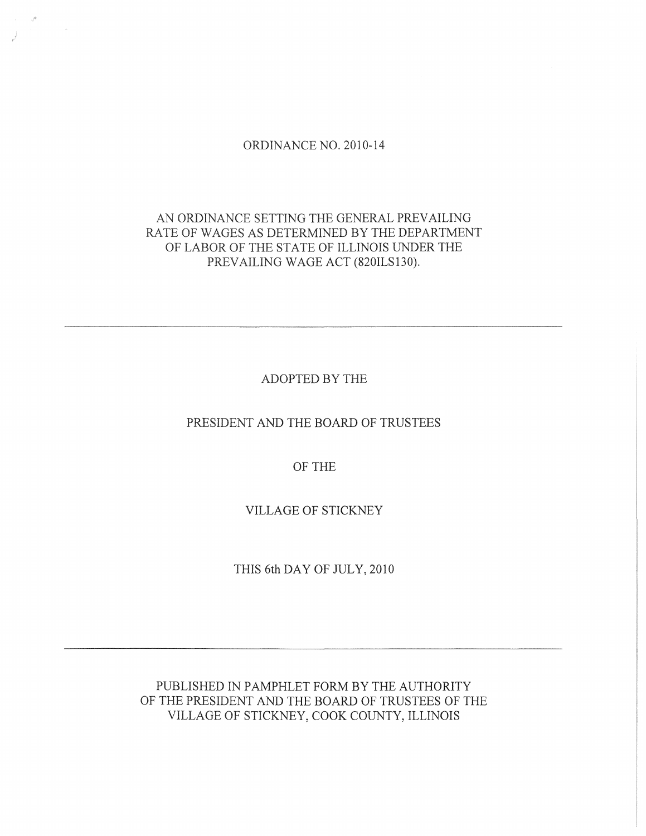#### ORDINANCE NO. 2010-14

# AN ORDINANCE SETTING THE GENERAL PREVAILING RATE OF WAGES AS DETERMINED BY THE DEPARTMENT OF LABOR OF THE STATE OF ILLINOIS UNDER THE PREVAILING WAGE ACT (820ILS130).

ADOPTED BY THE

PRESIDENT AND THE BOARD OF TRUSTEES

OF THE

VILLAGE OF STICKNEY

THIS 6th DAY OF JULY, 2010

PUBLISHED IN PAMPHLET FORM BY THE AUTHORITY OF THE PRESIDENT AND THE BOARD OF TRUSTEES OF THE VILLAGE OF STICKNEY, COOK COUNTY, ILLINOIS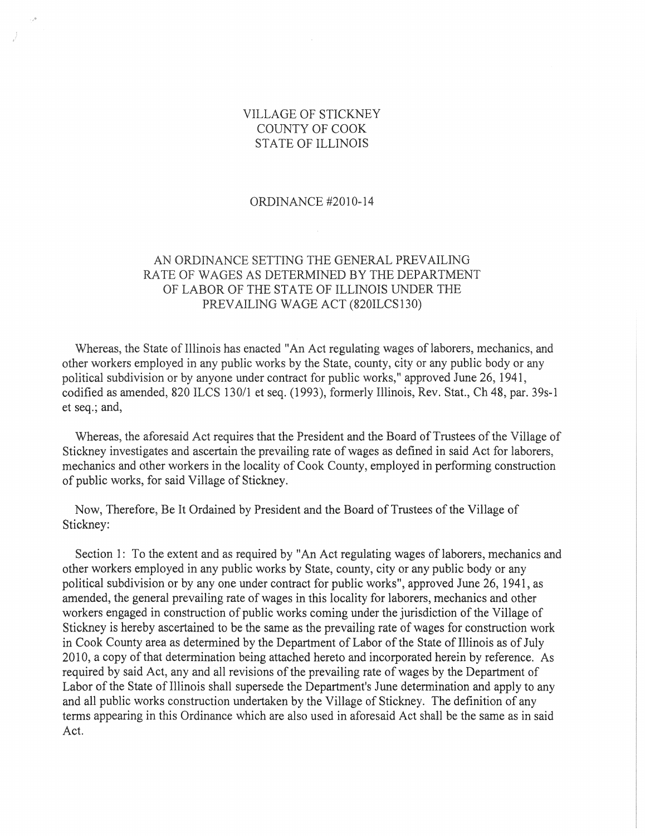## VILLAGE OF STICKNEY COUNTY OF COOK STATE OF ILLINOIS

#### ORDINANCE #2010-14

## AN ORDINANCE SETTING THE GENERAL PREVAILING RATE OF WAGES AS DETERMINED BY THE DEPARTMENT OF LABOR OF THE STATE OF ILLINOIS UNDER THE PREVAILING WAGE ACT (820ILCS130)

Whereas, the State of Illinois has enacted "An Act regulating wages of laborers, mechanics, and other workers employed in any public works by the State, county, city or any public body or any political subdivision or by anyone under contract for public works," approved June 26, 1941, codified as amended, 820 ILCS 130/1 et seq. (1993), formerly Illinois, Rev. Stat., Ch 48, par. 39s-1 et seq.; and,

Whereas, the aforesaid Act requires that the President and the Board of Trustees of the Village of Stickney investigates and ascertain the prevailing rate of wages as defined in said Act for laborers, mechanics and other workers in the locality of Cook County, employed in performing construction of public works, for said Village of Stickney.

Now, Therefore, Be It Ordained by President and the Board of Trustees of the Village of Stickney:

Section 1: To the extent and as required by "An Act regulating wages of laborers, mechanics and other workers employed in any public works by State, county, city or any public body or any political subdivision or by anyone under contract for public works", approved June 26, 1941, as amended, the general prevailing rate of wages in this locality for laborers, mechanics and other workers engaged in construction of public works coming under the jurisdiction of the Village of Stickney is hereby ascertained to be the same as the prevailing rate of wages for construction work in Cook County area as determined by the Department of Labor of the State of Illinois as of July 2010, a copy of that determination being attached hereto and incorporated herein by reference. As required by said Act, any and all revisions of the prevailing rate of wages by the Department of Labor of the State of Illinois shall supersede the Department's June determination and apply to any and all public works construction undertaken by the Village of Stickney. The definition of any terms appearing in this Ordinance which are also used in aforesaid Act shall be the same as in said Act.